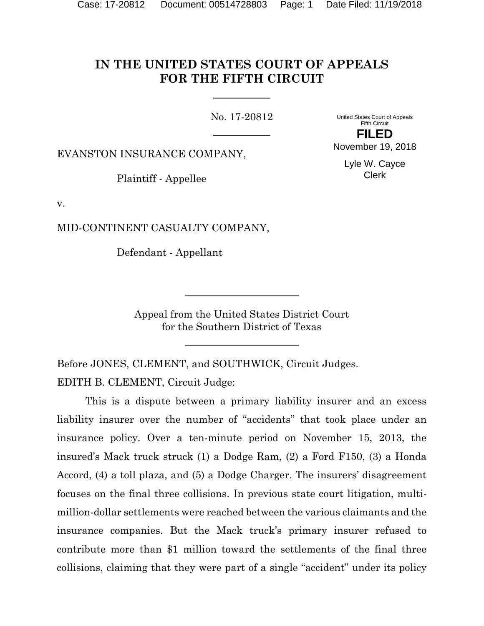# **IN THE UNITED STATES COURT OF APPEALS FOR THE FIFTH CIRCUIT**

No. 17-20812

United States Court of Appeals Fifth Circuit **FILED**

November 19, 2018

Lyle W. Cayce Clerk

EVANSTON INSURANCE COMPANY,

Plaintiff - Appellee

v.

MID-CONTINENT CASUALTY COMPANY,

Defendant - Appellant

Appeal from the United States District Court for the Southern District of Texas

Before JONES, CLEMENT, and SOUTHWICK, Circuit Judges. EDITH B. CLEMENT, Circuit Judge:

This is a dispute between a primary liability insurer and an excess liability insurer over the number of "accidents" that took place under an insurance policy. Over a ten-minute period on November 15, 2013, the insured's Mack truck struck (1) a Dodge Ram, (2) a Ford F150, (3) a Honda Accord, (4) a toll plaza, and (5) a Dodge Charger. The insurers' disagreement focuses on the final three collisions. In previous state court litigation, multimillion-dollar settlements were reached between the various claimants and the insurance companies. But the Mack truck's primary insurer refused to contribute more than \$1 million toward the settlements of the final three collisions, claiming that they were part of a single "accident" under its policy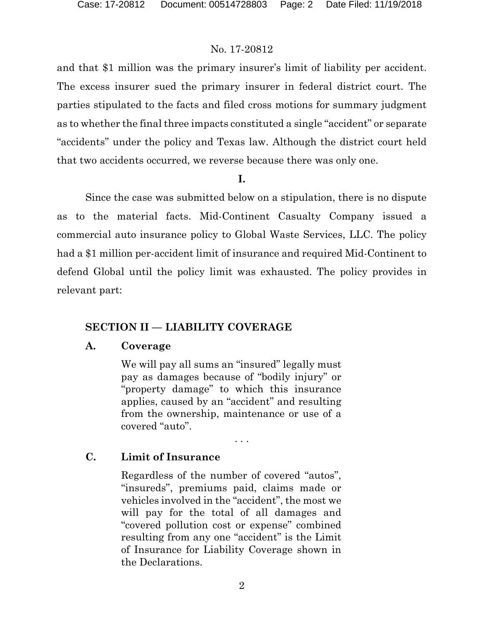and that \$1 million was the primary insurer's limit of liability per accident. The excess insurer sued the primary insurer in federal district court. The parties stipulated to the facts and filed cross motions for summary judgment as to whether the final three impacts constituted a single "accident" or separate "accidents" under the policy and Texas law. Although the district court held that two accidents occurred, we reverse because there was only one.

**I.**

Since the case was submitted below on a stipulation, there is no dispute as to the material facts. Mid-Continent Casualty Company issued a commercial auto insurance policy to Global Waste Services, LLC. The policy had a \$1 million per-accident limit of insurance and required Mid-Continent to defend Global until the policy limit was exhausted. The policy provides in relevant part:

# **SECTION II — LIABILITY COVERAGE**

#### **A. Coverage**

We will pay all sums an "insured" legally must pay as damages because of "bodily injury" or "property damage" to which this insurance applies, caused by an "accident" and resulting from the ownership, maintenance or use of a covered "auto".

. . .

# **C. Limit of Insurance**

Regardless of the number of covered "autos", "insureds", premiums paid, claims made or vehicles involved in the "accident", the most we will pay for the total of all damages and "covered pollution cost or expense" combined resulting from any one "accident" is the Limit of Insurance for Liability Coverage shown in the Declarations.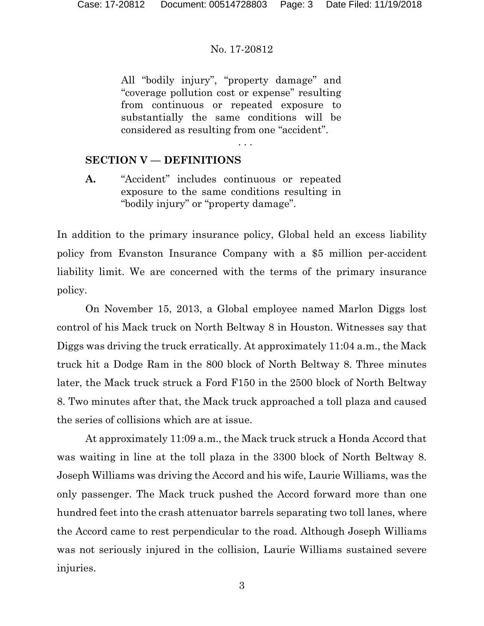All "bodily injury", "property damage" and "coverage pollution cost or expense" resulting from continuous or repeated exposure to substantially the same conditions will be considered as resulting from one "accident".

. . .

# **SECTION V — DEFINITIONS**

**A.** "Accident" includes continuous or repeated exposure to the same conditions resulting in "bodily injury" or "property damage".

In addition to the primary insurance policy, Global held an excess liability policy from Evanston Insurance Company with a \$5 million per-accident liability limit. We are concerned with the terms of the primary insurance policy.

On November 15, 2013, a Global employee named Marlon Diggs lost control of his Mack truck on North Beltway 8 in Houston. Witnesses say that Diggs was driving the truck erratically. At approximately 11:04 a.m., the Mack truck hit a Dodge Ram in the 800 block of North Beltway 8. Three minutes later, the Mack truck struck a Ford F150 in the 2500 block of North Beltway 8. Two minutes after that, the Mack truck approached a toll plaza and caused the series of collisions which are at issue.

At approximately 11:09 a.m., the Mack truck struck a Honda Accord that was waiting in line at the toll plaza in the 3300 block of North Beltway 8. Joseph Williams was driving the Accord and his wife, Laurie Williams, was the only passenger. The Mack truck pushed the Accord forward more than one hundred feet into the crash attenuator barrels separating two toll lanes, where the Accord came to rest perpendicular to the road. Although Joseph Williams was not seriously injured in the collision, Laurie Williams sustained severe injuries.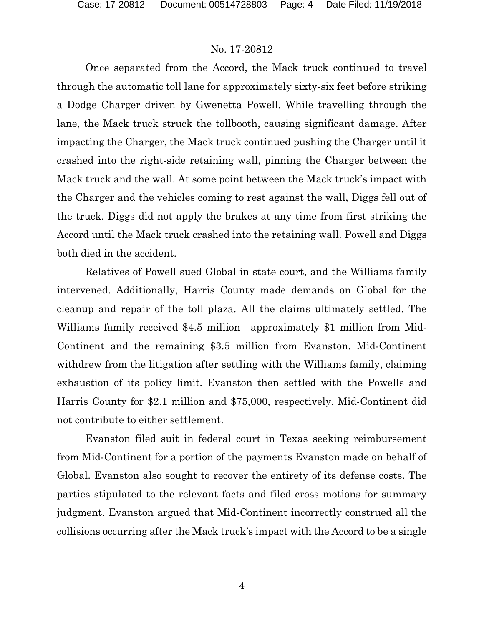Once separated from the Accord, the Mack truck continued to travel through the automatic toll lane for approximately sixty-six feet before striking a Dodge Charger driven by Gwenetta Powell. While travelling through the lane, the Mack truck struck the tollbooth, causing significant damage. After impacting the Charger, the Mack truck continued pushing the Charger until it crashed into the right-side retaining wall, pinning the Charger between the Mack truck and the wall. At some point between the Mack truck's impact with the Charger and the vehicles coming to rest against the wall, Diggs fell out of the truck. Diggs did not apply the brakes at any time from first striking the Accord until the Mack truck crashed into the retaining wall. Powell and Diggs both died in the accident.

Relatives of Powell sued Global in state court, and the Williams family intervened. Additionally, Harris County made demands on Global for the cleanup and repair of the toll plaza. All the claims ultimately settled. The Williams family received \$4.5 million—approximately \$1 million from Mid-Continent and the remaining \$3.5 million from Evanston. Mid-Continent withdrew from the litigation after settling with the Williams family, claiming exhaustion of its policy limit. Evanston then settled with the Powells and Harris County for \$2.1 million and \$75,000, respectively. Mid-Continent did not contribute to either settlement.

Evanston filed suit in federal court in Texas seeking reimbursement from Mid-Continent for a portion of the payments Evanston made on behalf of Global. Evanston also sought to recover the entirety of its defense costs. The parties stipulated to the relevant facts and filed cross motions for summary judgment. Evanston argued that Mid-Continent incorrectly construed all the collisions occurring after the Mack truck's impact with the Accord to be a single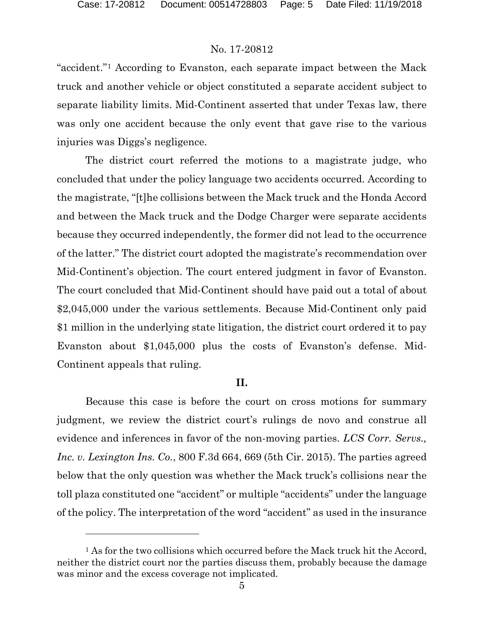l

# No. 17-20812

"accident."[1](#page-4-0) According to Evanston, each separate impact between the Mack truck and another vehicle or object constituted a separate accident subject to separate liability limits. Mid-Continent asserted that under Texas law, there was only one accident because the only event that gave rise to the various injuries was Diggs's negligence.

The district court referred the motions to a magistrate judge, who concluded that under the policy language two accidents occurred. According to the magistrate, "[t]he collisions between the Mack truck and the Honda Accord and between the Mack truck and the Dodge Charger were separate accidents because they occurred independently, the former did not lead to the occurrence of the latter." The district court adopted the magistrate's recommendation over Mid-Continent's objection. The court entered judgment in favor of Evanston. The court concluded that Mid-Continent should have paid out a total of about \$2,045,000 under the various settlements. Because Mid-Continent only paid \$1 million in the underlying state litigation, the district court ordered it to pay Evanston about \$1,045,000 plus the costs of Evanston's defense. Mid-Continent appeals that ruling.

### **II.**

Because this case is before the court on cross motions for summary judgment, we review the district court's rulings de novo and construe all evidence and inferences in favor of the non-moving parties. *LCS Corr. Servs., Inc. v. Lexington Ins. Co.*, 800 F.3d 664, 669 (5th Cir. 2015). The parties agreed below that the only question was whether the Mack truck's collisions near the toll plaza constituted one "accident" or multiple "accidents" under the language of the policy. The interpretation of the word "accident" as used in the insurance

<span id="page-4-0"></span><sup>&</sup>lt;sup>1</sup> As for the two collisions which occurred before the Mack truck hit the Accord, neither the district court nor the parties discuss them, probably because the damage was minor and the excess coverage not implicated.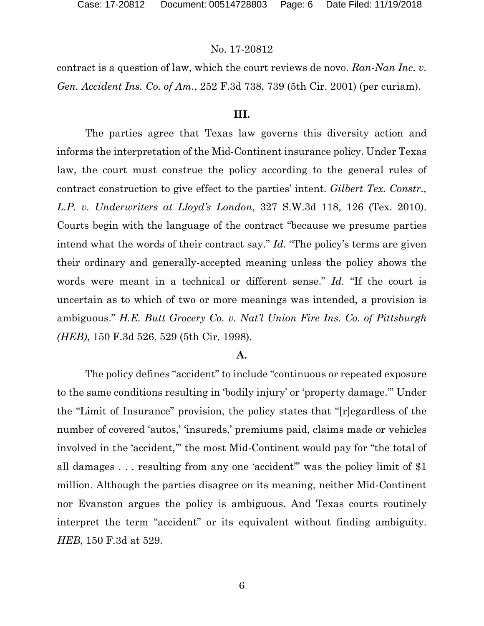contract is a question of law, which the court reviews de novo. *Ran-Nan Inc. v. Gen. Accident Ins. Co. of Am.*, 252 F.3d 738, 739 (5th Cir. 2001) (per curiam).

# **III.**

The parties agree that Texas law governs this diversity action and informs the interpretation of the Mid-Continent insurance policy. Under Texas law, the court must construe the policy according to the general rules of contract construction to give effect to the parties' intent. *Gilbert Tex. Constr., L.P. v. Underwriters at Lloyd's London*, 327 S.W.3d 118, 126 (Tex. 2010). Courts begin with the language of the contract "because we presume parties intend what the words of their contract say." *Id.* "The policy's terms are given their ordinary and generally-accepted meaning unless the policy shows the words were meant in a technical or different sense." *Id.* "If the court is uncertain as to which of two or more meanings was intended, a provision is ambiguous." *H.E. Butt Grocery Co. v. Nat'l Union Fire Ins. Co. of Pittsburgh (HEB)*, 150 F.3d 526, 529 (5th Cir. 1998).

#### **A.**

The policy defines "accident" to include "continuous or repeated exposure to the same conditions resulting in 'bodily injury' or 'property damage.'" Under the "Limit of Insurance" provision, the policy states that "[r]egardless of the number of covered 'autos,' 'insureds,' premiums paid, claims made or vehicles involved in the 'accident," the most Mid-Continent would pay for "the total of all damages . . . resulting from any one 'accident'" was the policy limit of \$1 million. Although the parties disagree on its meaning, neither Mid-Continent nor Evanston argues the policy is ambiguous. And Texas courts routinely interpret the term "accident" or its equivalent without finding ambiguity. *HEB*, 150 F.3d at 529.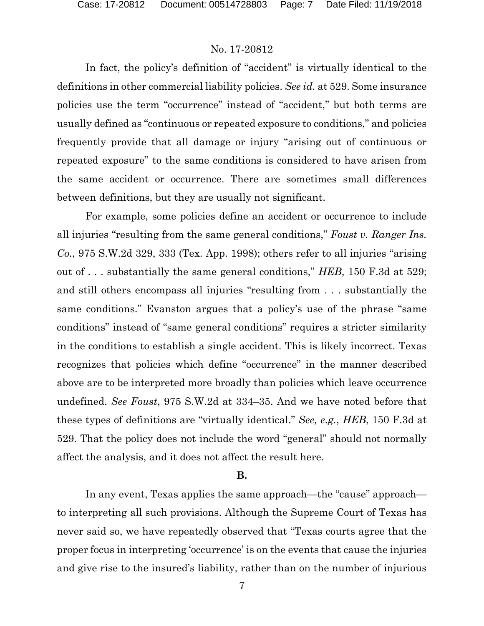In fact, the policy's definition of "accident" is virtually identical to the definitions in other commercial liability policies. *See id.* at 529. Some insurance policies use the term "occurrence" instead of "accident," but both terms are usually defined as "continuous or repeated exposure to conditions," and policies frequently provide that all damage or injury "arising out of continuous or repeated exposure" to the same conditions is considered to have arisen from the same accident or occurrence. There are sometimes small differences between definitions, but they are usually not significant.

For example, some policies define an accident or occurrence to include all injuries "resulting from the same general conditions," *Foust v. Ranger Ins. Co.*, 975 S.W.2d 329, 333 (Tex. App. 1998); others refer to all injuries "arising out of . . . substantially the same general conditions," *HEB*, 150 F.3d at 529; and still others encompass all injuries "resulting from . . . substantially the same conditions." Evanston argues that a policy's use of the phrase "same conditions" instead of "same general conditions" requires a stricter similarity in the conditions to establish a single accident. This is likely incorrect. Texas recognizes that policies which define "occurrence" in the manner described above are to be interpreted more broadly than policies which leave occurrence undefined. *See Foust*, 975 S.W.2d at 334–35. And we have noted before that these types of definitions are "virtually identical." *See, e.g.*, *HEB*, 150 F.3d at 529. That the policy does not include the word "general" should not normally affect the analysis, and it does not affect the result here.

#### **B.**

In any event, Texas applies the same approach—the "cause" approach to interpreting all such provisions. Although the Supreme Court of Texas has never said so, we have repeatedly observed that "Texas courts agree that the proper focus in interpreting 'occurrence' is on the events that cause the injuries and give rise to the insured's liability, rather than on the number of injurious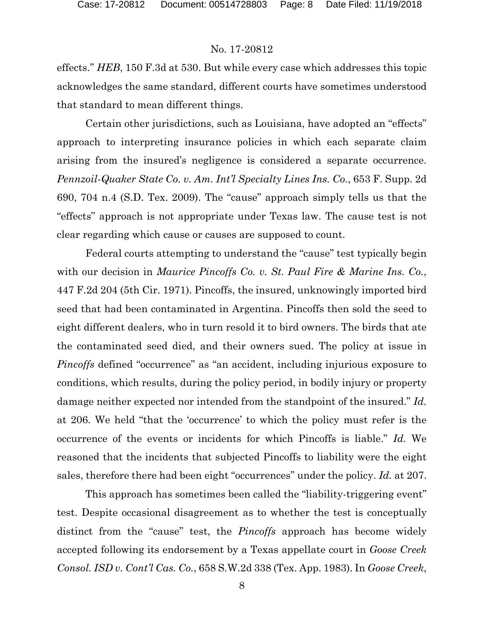effects." *HEB*, 150 F.3d at 530. But while every case which addresses this topic acknowledges the same standard, different courts have sometimes understood that standard to mean different things.

Certain other jurisdictions, such as Louisiana, have adopted an "effects" approach to interpreting insurance policies in which each separate claim arising from the insured's negligence is considered a separate occurrence. *Pennzoil-Quaker State Co. v. Am. Int'l Specialty Lines Ins. Co.*, 653 F. Supp. 2d 690, 704 n.4 (S.D. Tex. 2009). The "cause" approach simply tells us that the "effects" approach is not appropriate under Texas law. The cause test is not clear regarding which cause or causes are supposed to count.

Federal courts attempting to understand the "cause" test typically begin with our decision in *Maurice Pincoffs Co. v. St. Paul Fire & Marine Ins. Co.*, 447 F.2d 204 (5th Cir. 1971). Pincoffs, the insured, unknowingly imported bird seed that had been contaminated in Argentina. Pincoffs then sold the seed to eight different dealers, who in turn resold it to bird owners. The birds that ate the contaminated seed died, and their owners sued. The policy at issue in *Pincoffs* defined "occurrence" as "an accident, including injurious exposure to conditions, which results, during the policy period, in bodily injury or property damage neither expected nor intended from the standpoint of the insured." *Id.*  at 206. We held "that the 'occurrence' to which the policy must refer is the occurrence of the events or incidents for which Pincoffs is liable." *Id.* We reasoned that the incidents that subjected Pincoffs to liability were the eight sales, therefore there had been eight "occurrences" under the policy. *Id.* at 207.

This approach has sometimes been called the "liability-triggering event" test. Despite occasional disagreement as to whether the test is conceptually distinct from the "cause" test, the *Pincoffs* approach has become widely accepted following its endorsement by a Texas appellate court in *Goose Creek Consol. ISD v. Cont'l Cas. Co.*, 658 S.W.2d 338 (Tex. App. 1983). In *Goose Creek*,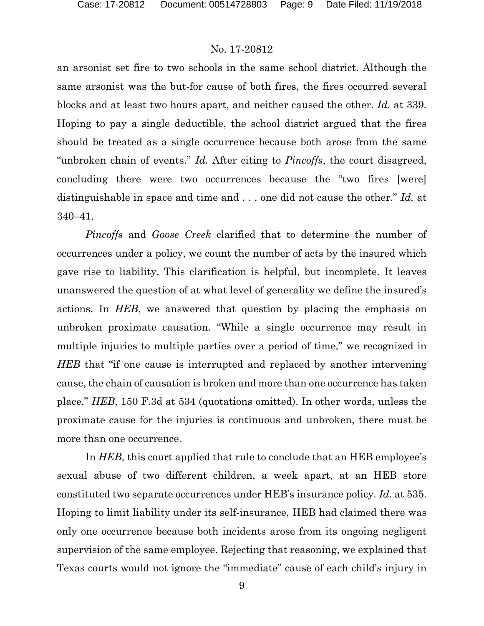an arsonist set fire to two schools in the same school district. Although the same arsonist was the but-for cause of both fires, the fires occurred several blocks and at least two hours apart, and neither caused the other. *Id.* at 339. Hoping to pay a single deductible, the school district argued that the fires should be treated as a single occurrence because both arose from the same "unbroken chain of events." *Id.* After citing to *Pincoffs*, the court disagreed, concluding there were two occurrences because the "two fires [were] distinguishable in space and time and . . . one did not cause the other." *Id.* at 340–41.

*Pincoffs* and *Goose Creek* clarified that to determine the number of occurrences under a policy, we count the number of acts by the insured which gave rise to liability. This clarification is helpful, but incomplete. It leaves unanswered the question of at what level of generality we define the insured's actions. In *HEB*, we answered that question by placing the emphasis on unbroken proximate causation. "While a single occurrence may result in multiple injuries to multiple parties over a period of time," we recognized in *HEB* that "if one cause is interrupted and replaced by another intervening cause, the chain of causation is broken and more than one occurrence has taken place." *HEB*, 150 F.3d at 534 (quotations omitted). In other words, unless the proximate cause for the injuries is continuous and unbroken, there must be more than one occurrence.

In *HEB*, this court applied that rule to conclude that an HEB employee's sexual abuse of two different children, a week apart, at an HEB store constituted two separate occurrences under HEB's insurance policy. *Id.* at 535. Hoping to limit liability under its self-insurance, HEB had claimed there was only one occurrence because both incidents arose from its ongoing negligent supervision of the same employee. Rejecting that reasoning, we explained that Texas courts would not ignore the "immediate" cause of each child's injury in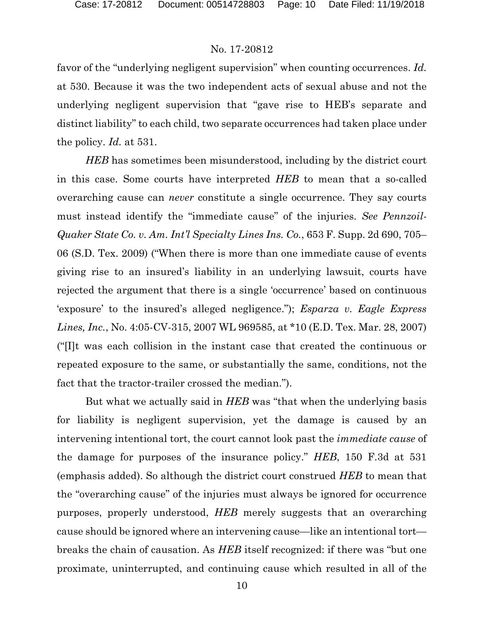favor of the "underlying negligent supervision" when counting occurrences. *Id.*  at 530. Because it was the two independent acts of sexual abuse and not the underlying negligent supervision that "gave rise to HEB's separate and distinct liability" to each child, two separate occurrences had taken place under the policy. *Id.* at 531.

*HEB* has sometimes been misunderstood, including by the district court in this case. Some courts have interpreted *HEB* to mean that a so-called overarching cause can *never* constitute a single occurrence. They say courts must instead identify the "immediate cause" of the injuries. *See Pennzoil-Quaker State Co. v. Am. Int'l Specialty Lines Ins. Co.*, 653 F. Supp. 2d 690, 705– 06 (S.D. Tex. 2009) ("When there is more than one immediate cause of events giving rise to an insured's liability in an underlying lawsuit, courts have rejected the argument that there is a single 'occurrence' based on continuous 'exposure' to the insured's alleged negligence."); *Esparza v. Eagle Express Lines, Inc.*, No. 4:05-CV-315, 2007 WL 969585, at \*10 (E.D. Tex. Mar. 28, 2007) ("[I]t was each collision in the instant case that created the continuous or repeated exposure to the same, or substantially the same, conditions, not the fact that the tractor-trailer crossed the median.").

But what we actually said in *HEB* was "that when the underlying basis for liability is negligent supervision, yet the damage is caused by an intervening intentional tort, the court cannot look past the *immediate cause* of the damage for purposes of the insurance policy." *HEB*, 150 F.3d at 531 (emphasis added). So although the district court construed *HEB* to mean that the "overarching cause" of the injuries must always be ignored for occurrence purposes, properly understood, *HEB* merely suggests that an overarching cause should be ignored where an intervening cause—like an intentional tort breaks the chain of causation. As *HEB* itself recognized: if there was "but one proximate, uninterrupted, and continuing cause which resulted in all of the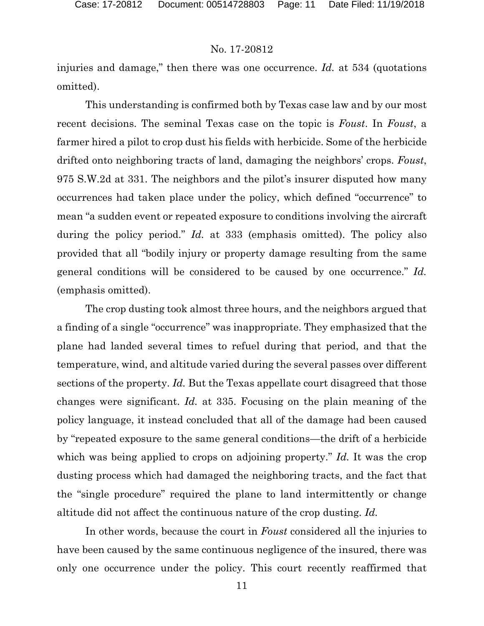injuries and damage," then there was one occurrence. *Id.* at 534 (quotations omitted).

This understanding is confirmed both by Texas case law and by our most recent decisions. The seminal Texas case on the topic is *Foust*. In *Foust*, a farmer hired a pilot to crop dust his fields with herbicide. Some of the herbicide drifted onto neighboring tracts of land, damaging the neighbors' crops. *Foust*, 975 S.W.2d at 331. The neighbors and the pilot's insurer disputed how many occurrences had taken place under the policy, which defined "occurrence" to mean "a sudden event or repeated exposure to conditions involving the aircraft during the policy period." *Id.* at 333 (emphasis omitted). The policy also provided that all "bodily injury or property damage resulting from the same general conditions will be considered to be caused by one occurrence." *Id.*  (emphasis omitted).

The crop dusting took almost three hours, and the neighbors argued that a finding of a single "occurrence" was inappropriate. They emphasized that the plane had landed several times to refuel during that period, and that the temperature, wind, and altitude varied during the several passes over different sections of the property. *Id.* But the Texas appellate court disagreed that those changes were significant. *Id.* at 335. Focusing on the plain meaning of the policy language, it instead concluded that all of the damage had been caused by "repeated exposure to the same general conditions—the drift of a herbicide which was being applied to crops on adjoining property." *Id.* It was the crop dusting process which had damaged the neighboring tracts, and the fact that the "single procedure" required the plane to land intermittently or change altitude did not affect the continuous nature of the crop dusting. *Id.* 

In other words, because the court in *Foust* considered all the injuries to have been caused by the same continuous negligence of the insured, there was only one occurrence under the policy. This court recently reaffirmed that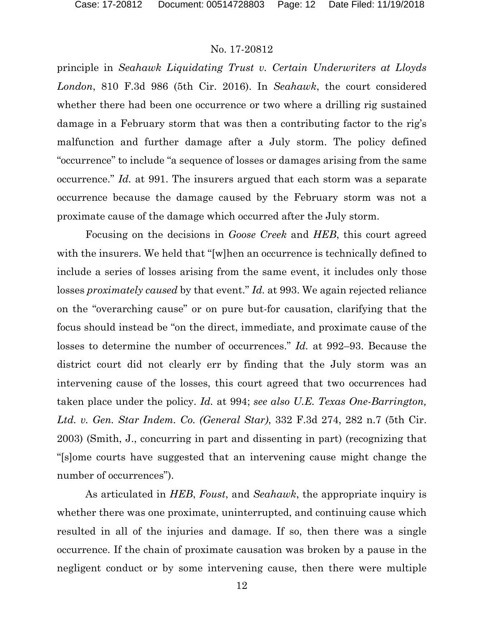principle in *Seahawk Liquidating Trust v. Certain Underwriters at Lloyds London*, 810 F.3d 986 (5th Cir. 2016). In *Seahawk*, the court considered whether there had been one occurrence or two where a drilling rig sustained damage in a February storm that was then a contributing factor to the rig's malfunction and further damage after a July storm. The policy defined "occurrence" to include "a sequence of losses or damages arising from the same occurrence." *Id.* at 991. The insurers argued that each storm was a separate occurrence because the damage caused by the February storm was not a proximate cause of the damage which occurred after the July storm.

Focusing on the decisions in *Goose Creek* and *HEB*, this court agreed with the insurers. We held that "[w]hen an occurrence is technically defined to include a series of losses arising from the same event, it includes only those losses *proximately caused* by that event." *Id.* at 993. We again rejected reliance on the "overarching cause" or on pure but-for causation, clarifying that the focus should instead be "on the direct, immediate, and proximate cause of the losses to determine the number of occurrences." *Id.* at 992–93. Because the district court did not clearly err by finding that the July storm was an intervening cause of the losses, this court agreed that two occurrences had taken place under the policy. *Id.* at 994; *see also U.E. Texas One-Barrington, Ltd. v. Gen. Star Indem. Co. (General Star)*, 332 F.3d 274, 282 n.7 (5th Cir. 2003) (Smith, J., concurring in part and dissenting in part) (recognizing that "[s]ome courts have suggested that an intervening cause might change the number of occurrences").

As articulated in *HEB*, *Foust*, and *Seahawk*, the appropriate inquiry is whether there was one proximate, uninterrupted, and continuing cause which resulted in all of the injuries and damage. If so, then there was a single occurrence. If the chain of proximate causation was broken by a pause in the negligent conduct or by some intervening cause, then there were multiple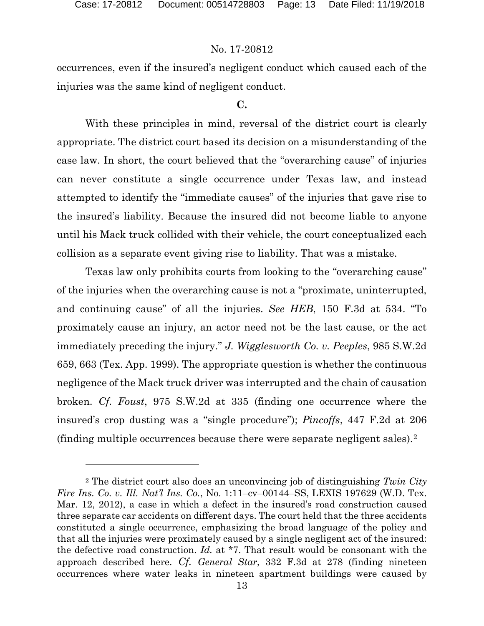l

### No. 17-20812

occurrences, even if the insured's negligent conduct which caused each of the injuries was the same kind of negligent conduct.

#### **C.**

With these principles in mind, reversal of the district court is clearly appropriate. The district court based its decision on a misunderstanding of the case law. In short, the court believed that the "overarching cause" of injuries can never constitute a single occurrence under Texas law, and instead attempted to identify the "immediate causes" of the injuries that gave rise to the insured's liability. Because the insured did not become liable to anyone until his Mack truck collided with their vehicle, the court conceptualized each collision as a separate event giving rise to liability. That was a mistake.

Texas law only prohibits courts from looking to the "overarching cause" of the injuries when the overarching cause is not a "proximate, uninterrupted, and continuing cause" of all the injuries. *See HEB*, 150 F.3d at 534. "To proximately cause an injury, an actor need not be the last cause, or the act immediately preceding the injury." *J. Wigglesworth Co. v. Peeples*, 985 S.W.2d 659, 663 (Tex. App. 1999). The appropriate question is whether the continuous negligence of the Mack truck driver was interrupted and the chain of causation broken. *Cf. Foust*, 975 S.W.2d at 335 (finding one occurrence where the insured's crop dusting was a "single procedure"); *Pincoffs*, 447 F.2d at 206 (finding multiple occurrences because there were separate negligent sales).[2](#page-12-0)

<span id="page-12-0"></span><sup>2</sup> The district court also does an unconvincing job of distinguishing *Twin City Fire Ins. Co. v. Ill. Nat'l Ins. Co.*, No. 1:11–cv–00144–SS, LEXIS 197629 (W.D. Tex. Mar. 12, 2012), a case in which a defect in the insured's road construction caused three separate car accidents on different days. The court held that the three accidents constituted a single occurrence, emphasizing the broad language of the policy and that all the injuries were proximately caused by a single negligent act of the insured: the defective road construction. *Id.* at \*7. That result would be consonant with the approach described here. *Cf. General Star*, 332 F.3d at 278 (finding nineteen occurrences where water leaks in nineteen apartment buildings were caused by